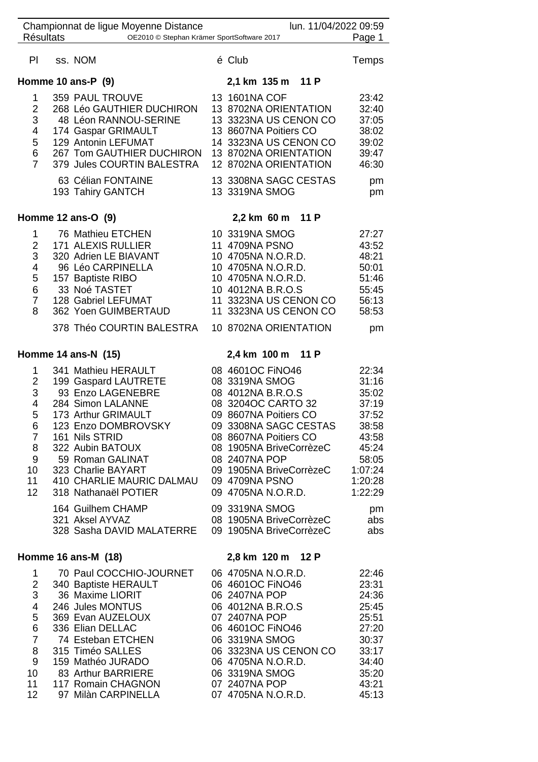| <b>Résultats</b>                                                                                   | Championnat de ligue Moyenne Distance<br>OE2010 © Stephan Krämer SportSoftware 2017                                                                                                                                                                                                     | lun. 11/04/2022 09:59                                                                                                                                                                                                                                 | Page 1                                                                                                         |
|----------------------------------------------------------------------------------------------------|-----------------------------------------------------------------------------------------------------------------------------------------------------------------------------------------------------------------------------------------------------------------------------------------|-------------------------------------------------------------------------------------------------------------------------------------------------------------------------------------------------------------------------------------------------------|----------------------------------------------------------------------------------------------------------------|
| PI                                                                                                 | ss. NOM                                                                                                                                                                                                                                                                                 | é Club                                                                                                                                                                                                                                                | Temps                                                                                                          |
|                                                                                                    | Homme 10 ans-P (9)                                                                                                                                                                                                                                                                      | 2,1 km 135 m 11 P                                                                                                                                                                                                                                     |                                                                                                                |
| 1<br>$\overline{2}$<br>3<br>4<br>5<br>6<br>$\overline{7}$                                          | 359 PAUL TROUVE<br>268 Léo GAUTHIER DUCHIRON<br>48 Léon RANNOU-SERINE<br>174 Gaspar GRIMAULT<br>129 Antonin LEFUMAT<br>267 Tom GAUTHIER DUCHIRON<br>379 Jules COURTIN BALESTRA<br>63 Célian FONTAINE                                                                                    | 13 1601NA COF<br>13 8702NA ORIENTATION<br>13 3323NA US CENON CO<br>13 8607NA Poitiers CO<br>14 3323NA US CENON CO<br>13 8702NA ORIENTATION<br>12 8702NA ORIENTATION<br>13 3308NA SAGC CESTAS                                                          | 23:42<br>32:40<br>37:05<br>38:02<br>39:02<br>39:47<br>46:30<br>pm                                              |
|                                                                                                    | 193 Tahiry GANTCH                                                                                                                                                                                                                                                                       | 13 3319NA SMOG                                                                                                                                                                                                                                        | pm                                                                                                             |
|                                                                                                    | Homme 12 ans-O (9)                                                                                                                                                                                                                                                                      | 2,2 km 60 m 11 P                                                                                                                                                                                                                                      |                                                                                                                |
| $\mathbf 1$<br>$\overline{2}$<br>3<br>4<br>5<br>6<br>$\overline{7}$<br>8                           | 76 Mathieu ETCHEN<br>171 ALEXIS RULLIER<br>320 Adrien LE BIAVANT<br>96 Léo CARPINELLA<br>157 Baptiste RIBO<br>33 Noé TASTET<br>128 Gabriel LEFUMAT<br>362 Yoen GUIMBERTAUD                                                                                                              | 10 3319NA SMOG<br>11 4709NA PSNO<br>10 4705NA N.O.R.D.<br>10 4705NA N.O.R.D.<br>10 4705NA N.O.R.D.<br>10 4012NA B.R.O.S<br>11 3323NA US CENON CO<br>11 3323NA US CENON CO                                                                             | 27:27<br>43:52<br>48:21<br>50:01<br>51:46<br>55:45<br>56:13<br>58:53                                           |
|                                                                                                    | 378 Théo COURTIN BALESTRA                                                                                                                                                                                                                                                               | 10 8702NA ORIENTATION                                                                                                                                                                                                                                 | pm                                                                                                             |
|                                                                                                    | Homme 14 ans-N (15)                                                                                                                                                                                                                                                                     | 2,4 km 100 m 11 P                                                                                                                                                                                                                                     |                                                                                                                |
| 1<br>2<br>3<br>4<br>5<br>6<br>$\overline{7}$<br>8<br>9<br>10<br>11<br>12                           | 341 Mathieu HERAULT<br>199 Gaspard LAUTRETE<br>93 Enzo LAGENEBRE<br>284 Simon LALANNE<br>173 Arthur GRIMAULT<br>123 Enzo DOMBROVSKY<br>161 Nils STRID<br>322 Aubin BATOUX<br>59 Roman GALINAT<br>323 Charlie BAYART<br>410 CHARLIE MAURIC DALMAU 09 4709NA PSNO<br>318 Nathanaël POTIER | 08 4601OC FINO46<br>08 3319NA SMOG<br>08 4012NA B.R.O.S<br>08 3204OC CARTO 32<br>09 8607NA Poitiers CO<br>09 3308NA SAGC CESTAS<br>08 8607NA Poitiers CO<br>08 1905NA BriveCorrèzeC<br>08 2407NA POP<br>09 1905NA BriveCorrèzeC<br>09 4705NA N.O.R.D. | 22:34<br>31:16<br>35:02<br>37:19<br>37:52<br>38:58<br>43:58<br>45:24<br>58:05<br>1:07:24<br>1:20:28<br>1:22:29 |
|                                                                                                    | 164 Guilhem CHAMP<br>321 Aksel AYVAZ<br>328 Sasha DAVID MALATERRE                                                                                                                                                                                                                       | 09 3319NA SMOG<br>08 1905NA BriveCorrèzeC<br>09 1905NA BriveCorrèzeC                                                                                                                                                                                  | pm<br>abs<br>abs                                                                                               |
|                                                                                                    | Homme 16 ans-M (18)                                                                                                                                                                                                                                                                     | 2,8 km 120 m 12 P                                                                                                                                                                                                                                     |                                                                                                                |
| 1<br>$\overline{2}$<br>3<br>4<br>5<br>6<br>$\overline{7}$<br>8<br>9<br>10 <sup>°</sup><br>11<br>12 | 70 Paul COCCHIO-JOURNET<br>340 Baptiste HERAULT<br>36 Maxime LIORIT<br>246 Jules MONTUS<br>369 Evan AUZELOUX<br>336 Elian DELLAC<br>74 Esteban ETCHEN<br>315 Timéo SALLES<br>159 Mathéo JURADO<br>83 Arthur BARRIERE<br>117 Romain CHAGNON<br>97 Milàn CARPINELLA                       | 06 4705NA N.O.R.D.<br>06 4601OC FINO46<br>06 2407NA POP<br>06 4012NA B.R.O.S<br>07 2407NA POP<br>06 4601OC FINO46<br>06 3319NA SMOG<br>06 3323NA US CENON CO<br>06 4705NA N.O.R.D.<br>06 3319NA SMOG<br>07 2407NA POP<br>07 4705NA N.O.R.D.           | 22:46<br>23:31<br>24:36<br>25:45<br>25:51<br>27:20<br>30:37<br>33:17<br>34:40<br>35:20<br>43:21<br>45:13       |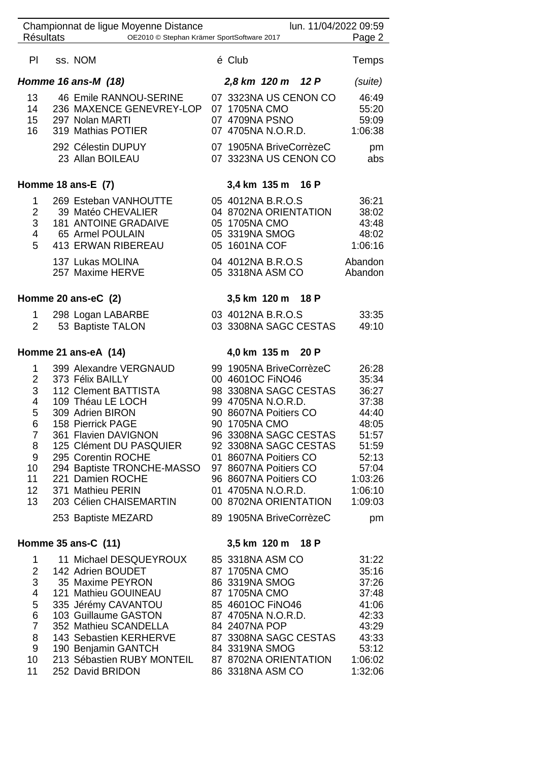| <b>Résultats</b>                                                                                     | Championnat de ligue Moyenne Distance<br>OE2010 © Stephan Krämer SportSoftware 2017                                                                                                                                                                                                                         |                                                                                     |                                                                                                                                                                                                                      |                                                                         | lun. 11/04/2022 09:59<br>Page 2                                                                                         |
|------------------------------------------------------------------------------------------------------|-------------------------------------------------------------------------------------------------------------------------------------------------------------------------------------------------------------------------------------------------------------------------------------------------------------|-------------------------------------------------------------------------------------|----------------------------------------------------------------------------------------------------------------------------------------------------------------------------------------------------------------------|-------------------------------------------------------------------------|-------------------------------------------------------------------------------------------------------------------------|
|                                                                                                      |                                                                                                                                                                                                                                                                                                             |                                                                                     |                                                                                                                                                                                                                      |                                                                         |                                                                                                                         |
| PI -                                                                                                 | ss. NOM                                                                                                                                                                                                                                                                                                     | é Club                                                                              |                                                                                                                                                                                                                      |                                                                         | <b>Temps</b>                                                                                                            |
|                                                                                                      | Homme 16 ans-M (18)                                                                                                                                                                                                                                                                                         |                                                                                     | 2,8 km 120 m 12 P                                                                                                                                                                                                    |                                                                         | (suite)                                                                                                                 |
| 13<br>14<br>15<br>16                                                                                 | 46 Emile RANNOU-SERINE<br>236 MAXENCE GENEVREY-LOP 07 1705NA CMO<br>297 Nolan MARTI<br>319 Mathias POTIER                                                                                                                                                                                                   | 07 4709NA PSNO                                                                      | 07 4705NA N.O.R.D.                                                                                                                                                                                                   | 07 3323NA US CENON CO                                                   | 46:49<br>55:20<br>59:09<br>1:06:38                                                                                      |
|                                                                                                      | 292 Célestin DUPUY<br>23 Allan BOILEAU                                                                                                                                                                                                                                                                      |                                                                                     | 07 1905NA BriveCorrèzeC                                                                                                                                                                                              | 07 3323NA US CENON CO                                                   | pm<br>abs                                                                                                               |
|                                                                                                      | Homme 18 ans-E (7)                                                                                                                                                                                                                                                                                          |                                                                                     | 3,4 km 135 m 16 P                                                                                                                                                                                                    |                                                                         |                                                                                                                         |
| $\mathbf{1}$<br>$\overline{2}$<br>3<br>$\overline{4}$<br>5                                           | 269 Esteban VANHOUTTE<br>39 Matéo CHEVALIER<br><b>181 ANTOINE GRADAIVE</b><br>65 Armel POULAIN<br>413 ERWAN RIBEREAU<br>137 Lukas MOLINA                                                                                                                                                                    | 05 1705NA CMO<br>05 3319NA SMOG<br>05 1601NA COF                                    | 05 4012NA B.R.O.S<br>04 8702NA ORIENTATION<br>04 4012NA B.R.O.S                                                                                                                                                      |                                                                         | 36:21<br>38:02<br>43:48<br>48:02<br>1:06:16<br>Abandon                                                                  |
|                                                                                                      | 257 Maxime HERVE                                                                                                                                                                                                                                                                                            |                                                                                     | 05 3318NA ASM CO                                                                                                                                                                                                     |                                                                         | Abandon                                                                                                                 |
|                                                                                                      | Homme 20 ans-eC (2)                                                                                                                                                                                                                                                                                         |                                                                                     | 3,5 km 120 m 18 P                                                                                                                                                                                                    |                                                                         |                                                                                                                         |
| $\mathbf{1}$<br>$\overline{2}$                                                                       | 298 Logan LABARBE<br>53 Baptiste TALON                                                                                                                                                                                                                                                                      |                                                                                     | 03 4012NA B.R.O.S                                                                                                                                                                                                    | 03 3308NA SAGC CESTAS                                                   | 33:35<br>49:10                                                                                                          |
|                                                                                                      | Homme 21 ans-eA (14)                                                                                                                                                                                                                                                                                        |                                                                                     | 4,0 km 135 m 20 P                                                                                                                                                                                                    |                                                                         |                                                                                                                         |
| 1<br>$\overline{2}$<br>3<br>$\overline{\mathbf{4}}$<br>5<br>6<br>7<br>8<br>9<br>10<br>11<br>12<br>13 | 399 Alexandre VERGNAUD<br>373 Félix BAILLY<br>112 Clement BATTISTA<br>109 Théau LE LOCH<br>309 Adrien BIRON<br>158 Pierrick PAGE<br>361 Flavien DAVIGNON<br>125 Clément DU PASQUIER<br>295 Corentin ROCHE<br>294 Baptiste TRONCHE-MASSO<br>221 Damien ROCHE<br>371 Mathieu PERIN<br>203 Célien CHAISEMARTIN | 90 1705NA CMO                                                                       | 99 1905NA BriveCorrèzeC<br>00 4601OC FINO46<br>99 4705NA N.O.R.D.<br>90 8607NA Poitiers CO<br>01 8607NA Poitiers CO<br>97 8607NA Poitiers CO<br>96 8607NA Poitiers CO<br>01 4705NA N.O.R.D.<br>00 8702NA ORIENTATION | 98 3308NA SAGC CESTAS<br>96 3308NA SAGC CESTAS<br>92 3308NA SAGC CESTAS | 26:28<br>35:34<br>36:27<br>37:38<br>44:40<br>48:05<br>51:57<br>51:59<br>52:13<br>57:04<br>1:03:26<br>1:06:10<br>1:09:03 |
|                                                                                                      | 253 Baptiste MEZARD                                                                                                                                                                                                                                                                                         |                                                                                     | 89 1905NA BriveCorrèzeC                                                                                                                                                                                              |                                                                         | pm                                                                                                                      |
|                                                                                                      | Homme 35 ans-C (11)                                                                                                                                                                                                                                                                                         |                                                                                     | 3,5 km 120 m 18 P                                                                                                                                                                                                    |                                                                         |                                                                                                                         |
| 1<br>$\overline{2}$<br>3<br>4<br>5<br>6<br>$\mathbf{7}$<br>8<br>9<br>10<br>11                        | 11 Michael DESQUEYROUX<br>142 Adrien BOUDET<br>35 Maxime PEYRON<br>121 Mathieu GOUINEAU<br>335 Jérémy CAVANTOU<br>103 Guillaume GASTON<br>352 Mathieu SCANDELLA<br>143 Sebastien KERHERVE<br>190 Benjamin GANTCH<br>213 Sébastien RUBY MONTEIL<br>252 David BRIDON                                          | 87 1705NA CMO<br>86 3319NA SMOG<br>87 1705NA CMO<br>84 2407NA POP<br>84 3319NA SMOG | 85 3318NA ASM CO<br>85 4601OC FINO46<br>87 4705NA N.O.R.D.<br>87 8702NA ORIENTATION<br>86 3318NA ASM CO                                                                                                              | 87 3308NA SAGC CESTAS                                                   | 31:22<br>35:16<br>37:26<br>37:48<br>41:06<br>42:33<br>43:29<br>43:33<br>53:12<br>1:06:02<br>1:32:06                     |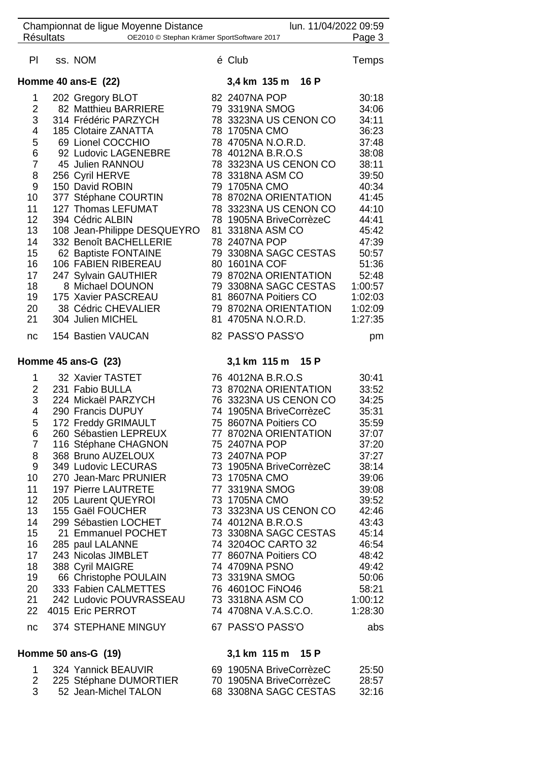|                  | Championnat de ligue Moyenne Distance         | lun. 11/04/2022 09:59                   |                |
|------------------|-----------------------------------------------|-----------------------------------------|----------------|
| <b>Résultats</b> | OE2010 © Stephan Krämer SportSoftware 2017    |                                         | Page 3         |
| PI               | ss. NOM                                       | é Club                                  | Temps          |
|                  | Homme 40 ans- $E(22)$                         | 3,4 km 135 m 16 P                       |                |
| 1                | 202 Gregory BLOT                              | 82 2407NA POP                           | 30:18          |
| 2                | 82 Matthieu BARRIERE                          | 79 3319NA SMOG                          | 34:06          |
| 3                | 314 Frédéric PARZYCH                          | 78 3323NA US CENON CO                   | 34:11          |
| 4                | 185 Clotaire ZANATTA                          | 78 1705NA CMO                           | 36:23          |
| 5                | 69 Lionel COCCHIO                             | 78 4705NA N.O.R.D.                      | 37:48          |
| 6                | 92 Ludovic LAGENEBRE                          | 78 4012NA B.R.O.S                       | 38:08          |
| $\overline{7}$   | 45 Julien RANNOU                              | 78 3323NA US CENON CO                   | 38:11          |
| 8                | 256 Cyril HERVE                               | 78 3318NA ASM CO                        | 39:50          |
| 9                | 150 David ROBIN                               | 79 1705NA CMO                           | 40:34          |
| 10               | 377 Stéphane COURTIN                          | 78 8702NA ORIENTATION                   | 41:45          |
| 11               | 127 Thomas LEFUMAT                            | 78 3323NA US CENON CO                   | 44:10          |
| 12               | 394 Cédric ALBIN                              | 78 1905NA BriveCorrèzeC                 | 44:41          |
| 13               | 108 Jean-Philippe DESQUEYRO                   | 81 3318NA ASM CO                        | 45:42          |
| 14               | 332 Benoît BACHELLERIE                        | 78 2407NA POP                           | 47:39          |
| 15               | 62 Baptiste FONTAINE                          | 79 3308NA SAGC CESTAS                   | 50:57          |
| 16               | 106 FABIEN RIBEREAU                           | 80 1601NA COF                           | 51:36          |
| 17               | 247 Sylvain GAUTHIER                          | 79 8702NA ORIENTATION                   | 52:48          |
| 18               | 8 Michael DOUNON                              | 79 3308NA SAGC CESTAS                   | 1:00:57        |
| 19               | 175 Xavier PASCREAU                           | 81 8607NA Poitiers CO                   | 1:02:03        |
| 20               | 38 Cédric CHEVALIER                           | 79 8702NA ORIENTATION                   | 1:02:09        |
| 21               | 304 Julien MICHEL                             | 81 4705NA N.O.R.D.                      | 1:27:35        |
| nc               | 154 Bastien VAUCAN                            | 82 PASS'O PASS'O                        | pm             |
|                  | Homme $45$ ans-G $(23)$                       | 3,1 km 115 m 15 P                       |                |
|                  |                                               |                                         |                |
| 1                | 32 Xavier TASTET                              | 76 4012NA B.R.O.S                       | 30:41          |
| $\overline{2}$   | 231 Fabio BULLA                               | 73 8702NA ORIENTATION                   | 33:52          |
| 3                | 224 Mickaël PARZYCH                           | 76 3323NA US CENON CO                   | 34:25          |
| 4                | 290 Francis DUPUY                             | 74 1905NA BriveCorrèzeC                 | 35:31          |
| 5                | 172 Freddy GRIMAULT                           | 75 8607NA Poitiers CO                   | 35:59          |
| 6                | 260 Sébastien LEPREUX                         | 77 8702NA ORIENTATION                   | 37:07          |
| $\overline{7}$   | 116 Stéphane CHAGNON                          | 75 2407NA POP                           | 37:20          |
| 8                | 368 Bruno AUZELOUX                            | 73 2407NA POP                           | 37:27          |
| 9                | 349 Ludovic LECURAS                           | 73 1905NA BriveCorrèzeC                 | 38:14          |
| 10               | 270 Jean-Marc PRUNIER                         | 73 1705NA CMO                           | 39:06          |
| 11               | 197 Pierre LAUTRETE                           | 77 3319NA SMOG                          | 39:08          |
| 12               | 205 Laurent QUEYROI                           | 73 1705NA CMO                           | 39:52          |
| 13               | 155 Gaël FOUCHER                              | 73 3323NA US CENON CO                   | 42:46          |
| 14               | 299 Sébastien LOCHET                          | 74 4012NA B.R.O.S                       | 43:43          |
| 15               | 21 Emmanuel POCHET                            | 73 3308NA SAGC CESTAS                   | 45:14          |
| 16               | 285 paul LALANNE                              | 74 3204OC CARTO 32                      | 46:54          |
| 17<br>18         | 243 Nicolas JIMBLET                           | 77 8607NA Poitiers CO<br>74 4709NA PSNO | 48:42<br>49:42 |
| 19               | 388 Cyril MAIGRE                              | 73 3319NA SMOG                          | 50:06          |
| 20               | 66 Christophe POULAIN<br>333 Fabien CALMETTES | 76 4601OC FINO46                        | 58:21          |
| 21               | 242 Ludovic POUVRASSEAU                       | 73 3318NA ASM CO                        | 1:00:12        |
| 22               | 4015 Eric PERROT                              | 74 4708NA V.A.S.C.O.                    | 1:28:30        |
| nc               | 374 STEPHANE MINGUY                           | 67 PASS'O PASS'O                        | abs            |
|                  | Homme 50 ans-G (19)                           | 3,1 km 115 m<br>15 P                    |                |

 225 Stéphane DUMORTIER 70 1905NA BriveCorrèzeC 28:57 52 Jean-Michel TALON 68 3308NA SAGC CESTAS 32:16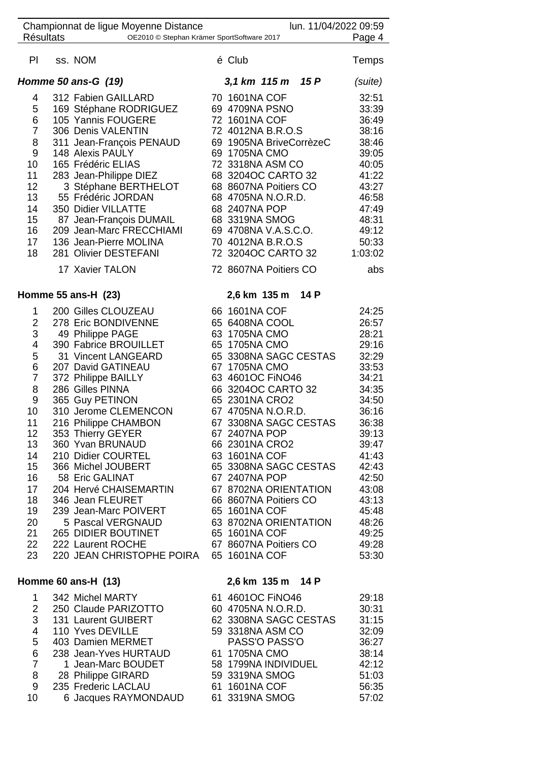|                  | Championnat de ligue Moyenne Distance      | lun. 11/04/2022 09:59   |              |
|------------------|--------------------------------------------|-------------------------|--------------|
| <b>Résultats</b> | OE2010 © Stephan Krämer SportSoftware 2017 |                         | Page 4       |
| P <sub>1</sub>   | ss. NOM                                    | é Club                  | <b>Temps</b> |
|                  | Homme 50 ans-G (19)                        | 3,1 km 115 m 15 P       | (suite)      |
| 4                | 312 Fabien GAILLARD                        | 70 1601NA COF           | 32:51        |
| 5                | 169 Stéphane RODRIGUEZ                     | 69 4709NA PSNO          | 33:39        |
| 6                | 105 Yannis FOUGERE                         | 72 1601NA COF           | 36:49        |
| $\overline{7}$   | 306 Denis VALENTIN                         | 72 4012NA B.R.O.S       | 38:16        |
| 8                | 311 Jean-François PENAUD                   | 69 1905NA BriveCorrèzeC | 38:46        |
| 9                | 148 Alexis PAULY                           | 69 1705NA CMO           | 39:05        |
| 10               | 165 Frédéric ELIAS                         | 72 3318NA ASM CO        | 40:05        |
| 11               | 283 Jean-Philippe DIEZ                     | 68 3204OC CARTO 32      | 41:22        |
| 12               | 3 Stéphane BERTHELOT                       | 68 8607NA Poitiers CO   | 43:27        |
| 13               | 55 Frédéric JORDAN                         | 68 4705NA N.O.R.D.      | 46:58        |
| 14               | 350 Didier VILLATTE                        | 68 2407NA POP           | 47:49        |
| 15               | 87 Jean-François DUMAIL                    | 68 3319NA SMOG          | 48:31        |
| 16               | 209 Jean-Marc FRECCHIAMI                   | 69 4708NA V.A.S.C.O.    | 49:12        |
| 17               | 136 Jean-Pierre MOLINA                     | 70 4012NA B.R.O.S       | 50:33        |
| 18               | 281 Olivier DESTEFANI                      | 72 3204OC CARTO 32      | 1:03:02      |
|                  |                                            |                         |              |
|                  | 17 Xavier TALON                            | 72 8607NA Poitiers CO   | abs          |
|                  | Homme 55 ans-H (23)                        | 2,6 km 135 m<br>14 P    |              |
| 1                | 200 Gilles CLOUZEAU                        | 66 1601NA COF           | 24:25        |
| $\overline{2}$   | 278 Eric BONDIVENNE                        | 65 6408NA COOL          | 26:57        |
| 3                | 49 Philippe PAGE                           | 63 1705NA CMO           | 28:21        |
| 4                | 390 Fabrice BROUILLET                      | 65 1705NA CMO           | 29:16        |
| 5                | 31 Vincent LANGEARD                        | 65 3308NA SAGC CESTAS   | 32:29        |
| $\,6$            | 207 David GATINEAU                         | 67 1705NA CMO           | 33:53        |
| $\overline{7}$   | 372 Philippe BAILLY                        | 63 4601OC FINO46        | 34:21        |
| 8                | 286 Gilles PINNA                           | 66 3204OC CARTO 32      | 34:35        |
| 9                | 365 Guy PETINON                            | 65 2301NA CRO2          | 34:50        |
| 10               | 310 Jerome CLEMENCON                       | 67 4705NA N.O.R.D.      | 36:16        |
| 11               | 216 Philippe CHAMBON                       | 67 3308NA SAGC CESTAS   | 36:38        |
| 12               | 353 Thierry GEYER                          | 67 2407NA POP           | 39:13        |
| 13               | 360 Yvan BRUNAUD                           | 66 2301NA CRO2          | 39:47        |
| 14               | 210 Didier COURTEL                         | 63 1601NA COF           | 41:43        |
| 15               | 366 Michel JOUBERT                         | 65 3308NA SAGC CESTAS   | 42:43        |
|                  |                                            |                         | 42:50        |
| 16               | 58 Eric GALINAT                            | 67 2407NA POP           |              |
| 17               | 204 Hervé CHAISEMARTIN                     | 67 8702NA ORIENTATION   | 43:08        |
| 18               | 346 Jean FLEURET                           | 66 8607NA Poitiers CO   | 43:13        |
| 19               | 239 Jean-Marc POIVERT                      | 65 1601NA COF           | 45:48        |
| 20               | 5 Pascal VERGNAUD                          | 63 8702NA ORIENTATION   | 48:26        |
| 21               | 265 DIDIER BOUTINET                        | 65 1601NA COF           | 49:25        |
| 22               | 222 Laurent ROCHE                          | 67 8607NA Poitiers CO   | 49:28        |
| 23               | 220 JEAN CHRISTOPHE POIRA                  | 65 1601NA COF           | 53:30        |
|                  | Homme 60 ans-H (13)                        | 2,6 km 135 m 14 P       |              |
| 1                | 342 Michel MARTY                           | 61 4601OC FINO46        | 29:18        |
| $\overline{2}$   | 250 Claude PARIZOTTO                       | 60 4705NA N.O.R.D.      | 30:31        |
| 3                | 131 Laurent GUIBERT                        | 62 3308NA SAGC CESTAS   | 31:15        |
| 4                | 110 Yves DEVILLE                           | 59 3318NA ASM CO        | 32:09        |
| 5                | 403 Damien MERMET                          | PASS'O PASS'O           | 36:27        |
|                  |                                            |                         |              |
| 6                | 238 Jean-Yves HURTAUD                      | 61 1705NA CMO           | 38:14        |
| $\overline{7}$   | 1 Jean-Marc BOUDET                         | 58 1799NA INDIVIDUEL    | 42:12        |
| 8                | 28 Philippe GIRARD                         | 59 3319NA SMOG          | 51:03        |
| 9                | 235 Frederic LACLAU                        | 61 1601NA COF           | 56:35        |
| 10               | 6 Jacques RAYMONDAUD                       | 61 3319NA SMOG          | 57:02        |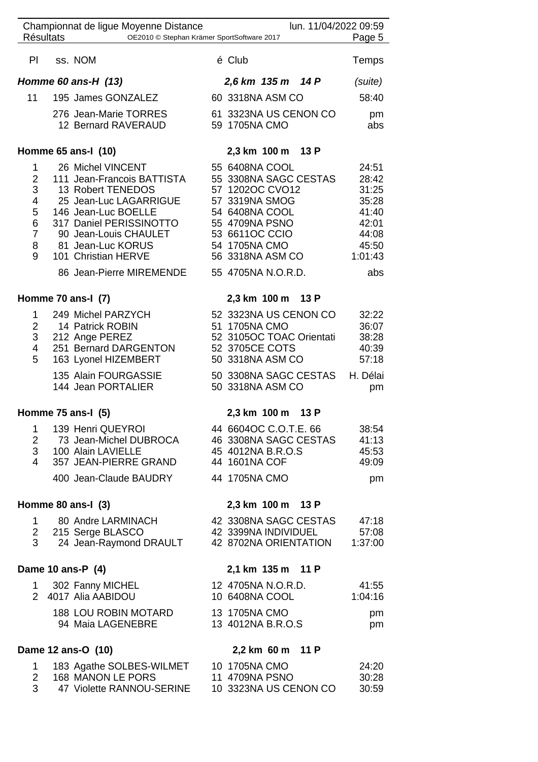| <b>Résultats</b>                                       | Championnat de ligue Moyenne Distance<br>OE2010 © Stephan Krämer SportSoftware 2017                                                                                                                                                               |                                                                                                                                                                                               | lun. 11/04/2022 09:59                          | Page 5                                                                                 |
|--------------------------------------------------------|---------------------------------------------------------------------------------------------------------------------------------------------------------------------------------------------------------------------------------------------------|-----------------------------------------------------------------------------------------------------------------------------------------------------------------------------------------------|------------------------------------------------|----------------------------------------------------------------------------------------|
|                                                        |                                                                                                                                                                                                                                                   |                                                                                                                                                                                               |                                                |                                                                                        |
| PI                                                     | ss. NOM                                                                                                                                                                                                                                           | é Club                                                                                                                                                                                        |                                                | Temps                                                                                  |
|                                                        | Homme 60 ans-H (13)                                                                                                                                                                                                                               | 2,6 km 135 m 14 P                                                                                                                                                                             |                                                | (suite)                                                                                |
| 11                                                     | 195 James GONZALEZ                                                                                                                                                                                                                                | 60 3318NA ASM CO                                                                                                                                                                              |                                                | 58:40                                                                                  |
|                                                        | 276 Jean-Marie TORRES<br>12 Bernard RAVERAUD                                                                                                                                                                                                      | 61 3323NA US CENON CO<br>59 1705NA CMO                                                                                                                                                        |                                                | pm<br>abs                                                                              |
|                                                        | Homme 65 ans-I (10)                                                                                                                                                                                                                               | 2,3 km 100 m                                                                                                                                                                                  | 13 P                                           |                                                                                        |
| 1<br>$\overline{2}$<br>3<br>4<br>5<br>6<br>7<br>8<br>9 | 26 Michel VINCENT<br>111 Jean-Francois BATTISTA<br>13 Robert TENEDOS<br>25 Jean-Luc LAGARRIGUE<br>146 Jean-Luc BOELLE<br>317 Daniel PERISSINOTTO<br>90 Jean-Louis CHAULET<br>81 Jean-Luc KORUS<br>101 Christian HERVE<br>86 Jean-Pierre MIREMENDE | 55 6408NA COOL<br>55 3308NA SAGC CESTAS<br>57 1202OC CVO12<br>57 3319NA SMOG<br>54 6408NA COOL<br>55 4709NA PSNO<br>53 6611OC CCIO<br>54 1705NA CMO<br>56 3318NA ASM CO<br>55 4705NA N.O.R.D. |                                                | 24:51<br>28:42<br>31:25<br>35:28<br>41:40<br>42:01<br>44:08<br>45:50<br>1:01:43<br>abs |
|                                                        | Homme 70 ans-I (7)                                                                                                                                                                                                                                | 2,3 km 100 m 13 P                                                                                                                                                                             |                                                |                                                                                        |
| 1<br>2<br>3<br>4<br>5                                  | 249 Michel PARZYCH<br>14 Patrick ROBIN<br>212 Ange PEREZ<br>251 Bernard DARGENTON<br>163 Lyonel HIZEMBERT<br>135 Alain FOURGASSIE                                                                                                                 | 52 3323NA US CENON CO<br>51 1705NA CMO<br>52 3105OC TOAC Orientati<br>52 3705CE COTS<br>50 3318NA ASM CO<br>50 3308NA SAGC CESTAS                                                             |                                                | 32:22<br>36:07<br>38:28<br>40:39<br>57:18<br>H. Délai                                  |
|                                                        | 144 Jean PORTALIER                                                                                                                                                                                                                                | 50 3318NA ASM CO                                                                                                                                                                              |                                                | pm                                                                                     |
|                                                        | Homme 75 ans-I (5)                                                                                                                                                                                                                                | 2,3 km 100 m                                                                                                                                                                                  | 13 P                                           |                                                                                        |
| 1<br>2<br>3 <sup>7</sup><br>4                          | 139 Henri QUEYROI<br>73 Jean-Michel DUBROCA<br>100 Alain LAVIELLE<br>357 JEAN-PIERRE GRAND                                                                                                                                                        | 44 6604OC C.O.T.E. 66<br>46 3308NA SAGC CESTAS<br>45 4012NA B.R.O.S<br>44 1601NA COF                                                                                                          |                                                | 38:54<br>41:13<br>45:53<br>49:09                                                       |
|                                                        | 400 Jean-Claude BAUDRY                                                                                                                                                                                                                            | 44 1705NA CMO                                                                                                                                                                                 |                                                | pm                                                                                     |
|                                                        | Homme 80 ans-I (3)                                                                                                                                                                                                                                | 2,3 km 100 m 13 P                                                                                                                                                                             |                                                |                                                                                        |
| 1.<br>$3^{\circ}$                                      | 80 Andre LARMINACH<br>2 215 Serge BLASCO<br>24 Jean-Raymond DRAULT                                                                                                                                                                                | 42 3399NA INDIVIDUEL                                                                                                                                                                          | 42 3308NA SAGC CESTAS<br>42 8702NA ORIENTATION | 47:18<br>57:08<br>1:37:00                                                              |
|                                                        | Dame 10 ans-P (4)                                                                                                                                                                                                                                 | 2,1 km 135 m 11 P                                                                                                                                                                             |                                                |                                                                                        |
| 1.                                                     | 302 Fanny MICHEL<br>2 4017 Alia AABIDOU                                                                                                                                                                                                           | 12 4705NA N.O.R.D.<br>10 6408NA COOL                                                                                                                                                          |                                                | 41:55<br>1:04:16                                                                       |
|                                                        | <b>188 LOU ROBIN MOTARD</b><br>94 Maia LAGENEBRE                                                                                                                                                                                                  | 13 1705NA CMO<br>13 4012NA B.R.O.S                                                                                                                                                            |                                                | pm<br>pm                                                                               |
|                                                        | Dame 12 ans-O (10)                                                                                                                                                                                                                                | 2,2 km 60 m 11 P                                                                                                                                                                              |                                                |                                                                                        |
| 1<br>$\overline{2}$<br>3                               | 183 Agathe SOLBES-WILMET<br>168 MANON LE PORS<br>47 Violette RANNOU-SERINE                                                                                                                                                                        | 10 1705NA CMO<br>11 4709NA PSNO<br>10 3323NA US CENON CO                                                                                                                                      |                                                | 24:20<br>30:28<br>30:59                                                                |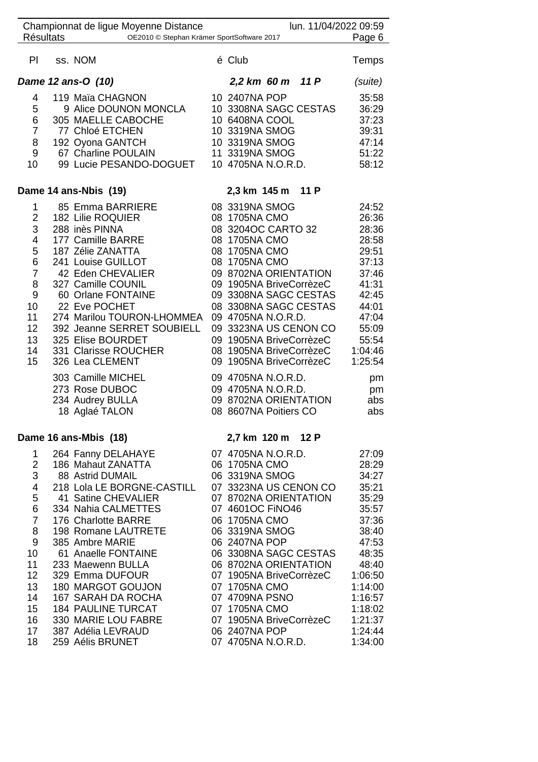| <b>Résultats</b>        | Championnat de ligue Moyenne Distance<br>OE2010 © Stephan Krämer SportSoftware 2017                                                                  | lun. 11/04/2022 09:59                                                                                                                                                                                                                          | Page 6         |
|-------------------------|------------------------------------------------------------------------------------------------------------------------------------------------------|------------------------------------------------------------------------------------------------------------------------------------------------------------------------------------------------------------------------------------------------|----------------|
| PI                      | ss. NOM                                                                                                                                              | é Club                                                                                                                                                                                                                                         | <b>Temps</b>   |
|                         | Dame 12 ans-O (10)                                                                                                                                   | 2,2 km 60 m 11 P                                                                                                                                                                                                                               | (suite)        |
| 4                       | 119 Maïa CHAGNON                                                                                                                                     | 10 2407NA POP                                                                                                                                                                                                                                  | 35:58          |
| 5                       | 9 Alice DOUNON MONCLA                                                                                                                                | 10 3308NA SAGC CESTAS                                                                                                                                                                                                                          | 36:29          |
| 6                       | 305 MAELLE CABOCHE                                                                                                                                   |                                                                                                                                                                                                                                                | 37:23          |
| $\overline{7}$          | 77 Chloé ETCHEN                                                                                                                                      |                                                                                                                                                                                                                                                | 39:31          |
| 8                       | MAELLE CABOCHE<br>10 6408NA COOL<br>77 Chloé ETCHEN<br>10 3319NA SMOG<br>10 3319NA SMOG<br>67 Charline POULAIN<br>11 3319NA SMOG<br>192 Oyona GANTCH |                                                                                                                                                                                                                                                | 47:14<br>51:22 |
| 9                       |                                                                                                                                                      |                                                                                                                                                                                                                                                |                |
| 10                      | 99 Lucie PESANDO-DOGUET 10 4705NA N.O.R.D.                                                                                                           |                                                                                                                                                                                                                                                | 58:12          |
|                         | Dame 14 ans-Nbis (19)                                                                                                                                | 2,3 km 145 m 11 P                                                                                                                                                                                                                              |                |
| 1                       | 85 Emma BARRIERE 08 3319NA SMOG                                                                                                                      |                                                                                                                                                                                                                                                | 24:52          |
| $\overline{\mathbf{c}}$ | 182 Lilie ROQUIER<br>288 inès PINNA<br>177 Camille BARRE<br>187 Zélie ZANATTA<br>241 Louise GUILLOT                                                  | 08 1705NA CMO                                                                                                                                                                                                                                  | 26:36          |
| 3                       |                                                                                                                                                      | 08 1705NA CMU<br>08 3204OC CARTO 32<br>08 1705NA CMO<br>08 1705NA CMO<br>08 1705NA CMO<br>09 8702NA ORIENTATION<br>09 8702NA ORIENTATION<br>09 1905NA BriveCorrèzeC<br>09 3308NA SAGC CESTAS<br>08 3308NA SAGC CESTAS<br>08 3308NA SAGC CESTAS | 28:36          |
| 4                       |                                                                                                                                                      |                                                                                                                                                                                                                                                | 28:58          |
| 5                       |                                                                                                                                                      |                                                                                                                                                                                                                                                | 29:51          |
| 6<br>$\overline{7}$     | 42 Eden CHEVALIER                                                                                                                                    |                                                                                                                                                                                                                                                | 37:13          |
| 8                       | 327 Camille COUNIL                                                                                                                                   |                                                                                                                                                                                                                                                | 37:46<br>41:31 |
| $9\,$                   | 60 Orlane FONTAINE                                                                                                                                   |                                                                                                                                                                                                                                                | 42:45          |
| 10                      | 22 Eve POCHET                                                                                                                                        |                                                                                                                                                                                                                                                | 44:01          |
| 11                      | 274 Marilou TOURON-LHOMMEA 09 4705NA N.O.R.D.                                                                                                        |                                                                                                                                                                                                                                                | 47:04          |
| 12                      | 392 Jeanne SERRET SOUBIELL                                                                                                                           | 09 3323NA US CENON CO                                                                                                                                                                                                                          | 55:09          |
| 13                      | 325 Elise BOURDET                                                                                                                                    | 09 1905NA BriveCorrèzeC                                                                                                                                                                                                                        | 55:54          |
| 14                      | 331 Clarisse ROUCHER                                                                                                                                 | 08 1905NA BriveCorrèzeC                                                                                                                                                                                                                        | 1:04:46        |
| 15                      | 326 Lea CLEMENT                                                                                                                                      | 09 1905NA BriveCorrèzeC                                                                                                                                                                                                                        | 1:25:54        |
|                         | 303 Camille MICHEL                                                                                                                                   | 09 4705NA N.O.R.D.                                                                                                                                                                                                                             | pm             |
|                         | 273 Rose DUBOC                                                                                                                                       | 09 4705NA N.O.R.D.                                                                                                                                                                                                                             | pm             |
|                         | 234 Audrey BULLA                                                                                                                                     | 09 8702NA ORIENTATION                                                                                                                                                                                                                          | abs            |
|                         | 18 Aglaé TALON                                                                                                                                       | 08 8607NA Poitiers CO                                                                                                                                                                                                                          | abs            |
|                         | Dame 16 ans-Mbis (18)                                                                                                                                | 2,7 km 120 m 12 P                                                                                                                                                                                                                              |                |
| 1                       | 264 Fanny DELAHAYE                                                                                                                                   | 07 4705NA N.O.R.D.                                                                                                                                                                                                                             | 27:09          |
| $\overline{2}$          | 186 Mahaut ZANATTA                                                                                                                                   | 06 1705NA CMO                                                                                                                                                                                                                                  | 28:29          |
| 3                       | 88 Astrid DUMAIL                                                                                                                                     | 06 3319NA SMOG                                                                                                                                                                                                                                 | 34:27          |
| 4                       | 218 Lola LE BORGNE-CASTILL                                                                                                                           | 07 3323NA US CENON CO                                                                                                                                                                                                                          | 35:21          |
| 5                       | 41 Satine CHEVALIER                                                                                                                                  | 07 8702NA ORIENTATION                                                                                                                                                                                                                          | 35:29          |
| 6                       | 334 Nahia CALMETTES                                                                                                                                  | 07 4601OC FINO46                                                                                                                                                                                                                               | 35:57          |
| $\overline{7}$<br>8     | 176 Charlotte BARRE<br>198 Romane LAUTRETE                                                                                                           | 06 1705NA CMO<br>06 3319NA SMOG                                                                                                                                                                                                                | 37:36<br>38:40 |
| 9                       | 385 Ambre MARIE                                                                                                                                      | 06 2407NA POP                                                                                                                                                                                                                                  | 47:53          |
| 10                      | 61 Anaelle FONTAINE                                                                                                                                  | 06 3308NA SAGC CESTAS                                                                                                                                                                                                                          | 48:35          |
| 11                      | 233 Maewenn BULLA                                                                                                                                    | 06 8702NA ORIENTATION                                                                                                                                                                                                                          | 48:40          |
| 12 <sub>2</sub>         | 329 Emma DUFOUR                                                                                                                                      | 07 1905NA BriveCorrèzeC                                                                                                                                                                                                                        | 1:06:50        |
| 13                      | 180 MARGOT GOUJON                                                                                                                                    | 07 1705NA CMO                                                                                                                                                                                                                                  | 1:14:00        |
| 14                      | 167 SARAH DA ROCHA                                                                                                                                   | 07 4709NA PSNO                                                                                                                                                                                                                                 | 1:16:57        |
| $15\,$                  | <b>184 PAULINE TURCAT</b>                                                                                                                            | 07 1705NA CMO                                                                                                                                                                                                                                  | 1:18:02        |
| 16                      | 330 MARIE LOU FABRE                                                                                                                                  | 07 1905NA BriveCorrèzeC                                                                                                                                                                                                                        | 1:21:37        |
| 17                      | 387 Adélia LEVRAUD                                                                                                                                   | 06 2407NA POP                                                                                                                                                                                                                                  | 1:24:44        |
| 18                      | 259 Aélis BRUNET                                                                                                                                     | 07 4705NA N.O.R.D.                                                                                                                                                                                                                             | 1:34:00        |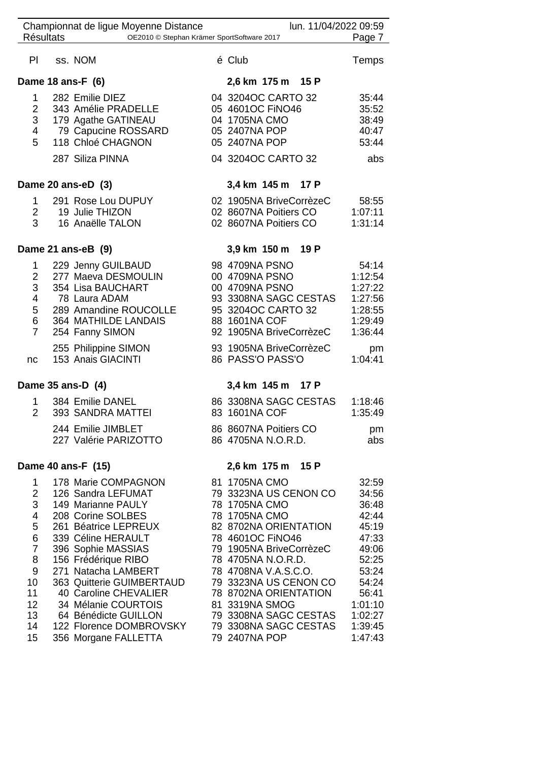|                                                                                                                                | Championnat de ligue Moyenne Distance                                                                                                                                                                                                                                                                                                                          | lun. 11/04/2022 09:59                                                                                                                                                                                                                                                                                                                 |                                                                                                                                             |
|--------------------------------------------------------------------------------------------------------------------------------|----------------------------------------------------------------------------------------------------------------------------------------------------------------------------------------------------------------------------------------------------------------------------------------------------------------------------------------------------------------|---------------------------------------------------------------------------------------------------------------------------------------------------------------------------------------------------------------------------------------------------------------------------------------------------------------------------------------|---------------------------------------------------------------------------------------------------------------------------------------------|
| <b>Résultats</b>                                                                                                               | OE2010 © Stephan Krämer SportSoftware 2017                                                                                                                                                                                                                                                                                                                     |                                                                                                                                                                                                                                                                                                                                       | Page 7                                                                                                                                      |
| PI                                                                                                                             | ss. NOM                                                                                                                                                                                                                                                                                                                                                        | é Club                                                                                                                                                                                                                                                                                                                                | Temps                                                                                                                                       |
|                                                                                                                                | Dame 18 ans-F (6)                                                                                                                                                                                                                                                                                                                                              | 2,6 km 175 m 15 P                                                                                                                                                                                                                                                                                                                     |                                                                                                                                             |
| 1<br>$\overline{2}$<br>3<br>4<br>5                                                                                             | 282 Emilie DIEZ<br>343 Amélie PRADELLE<br>179 Agathe GATINEAU<br>79 Capucine ROSSARD<br>118 Chloé CHAGNON                                                                                                                                                                                                                                                      | 04 3204OC CARTO 32<br>05 4601OC FINO46<br>04 1705NA CMO<br>05 2407NA POP<br>05 2407NA POP                                                                                                                                                                                                                                             | 35:44<br>35:52<br>38:49<br>40:47<br>53:44                                                                                                   |
|                                                                                                                                | 287 Siliza PINNA                                                                                                                                                                                                                                                                                                                                               | 04 3204OC CARTO 32                                                                                                                                                                                                                                                                                                                    | abs                                                                                                                                         |
|                                                                                                                                | Dame 20 ans-eD (3)                                                                                                                                                                                                                                                                                                                                             | 3,4 km 145 m 17 P                                                                                                                                                                                                                                                                                                                     |                                                                                                                                             |
| $\mathbf{1}$<br>$\overline{2}$<br>3                                                                                            | 291 Rose Lou DUPUY<br>19 Julie THIZON<br>16 Anaëlle TALON                                                                                                                                                                                                                                                                                                      | 02 1905NA BriveCorrèzeC<br>02 8607NA Poitiers CO<br>02 8607NA Poitiers CO                                                                                                                                                                                                                                                             | 58:55<br>1:07:11<br>1:31:14                                                                                                                 |
|                                                                                                                                | Dame 21 ans-eB (9)                                                                                                                                                                                                                                                                                                                                             | 3,9 km 150 m 19 P                                                                                                                                                                                                                                                                                                                     |                                                                                                                                             |
| 1<br>$\overline{2}$<br>3<br>4<br>5<br>6<br>$\overline{7}$                                                                      | 229 Jenny GUILBAUD<br>277 Maeva DESMOULIN<br>354 Lisa BAUCHART<br>78 Laura ADAM<br>289 Amandine ROUCOLLE<br>364 MATHILDE LANDAIS<br>254 Fanny SIMON                                                                                                                                                                                                            | 98 4709NA PSNO<br>00 4709NA PSNO<br>00 4709NA PSNO<br>93 3308NA SAGC CESTAS<br>95 3204OC CARTO 32<br>88 1601NA COF<br>92 1905NA BriveCorrèzeC                                                                                                                                                                                         | 54:14<br>1:12:54<br>1:27:22<br>1:27:56<br>1:28:55<br>1:29:49<br>1:36:44                                                                     |
| nc                                                                                                                             | 255 Philippine SIMON<br>153 Anais GIACINTI                                                                                                                                                                                                                                                                                                                     | 93 1905NA BriveCorrèzeC<br>86 PASS'O PASS'O                                                                                                                                                                                                                                                                                           | pm<br>1:04:41                                                                                                                               |
|                                                                                                                                | Dame 35 ans-D (4)                                                                                                                                                                                                                                                                                                                                              | 3,4 km 145 m 17 P                                                                                                                                                                                                                                                                                                                     |                                                                                                                                             |
| 1<br>$\overline{2}$                                                                                                            | 384 Emilie DANEL<br>393 SANDRA MATTEI                                                                                                                                                                                                                                                                                                                          | 86 3308NA SAGC CESTAS<br>83 1601NA COF                                                                                                                                                                                                                                                                                                | 1:18:46<br>1:35:49                                                                                                                          |
|                                                                                                                                | 244 Emilie JIMBLET<br>227 Valérie PARIZOTTO                                                                                                                                                                                                                                                                                                                    | 86 8607NA Poitiers CO<br>86 4705NA N.O.R.D.                                                                                                                                                                                                                                                                                           | pm<br>abs                                                                                                                                   |
|                                                                                                                                | Dame 40 ans-F (15)                                                                                                                                                                                                                                                                                                                                             | 2,6 km 175 m 15 P                                                                                                                                                                                                                                                                                                                     |                                                                                                                                             |
| $\mathbf 1$<br>$\overline{2}$<br>3<br>4<br>5<br>6<br>$\overline{7}$<br>8<br>9<br>10 <sup>°</sup><br>11<br>12<br>13<br>14<br>15 | 178 Marie COMPAGNON<br>126 Sandra LEFUMAT<br>149 Marianne PAULY<br>208 Corine SOLBES<br>261 Béatrice LEPREUX<br>339 Céline HERAULT<br>396 Sophie MASSIAS<br>156 Frédérique RIBO<br>271 Natacha LAMBERT<br>363 Quitterie GUIMBERTAUD<br>40 Caroline CHEVALIER<br>34 Mélanie COURTOIS<br>64 Bénédicte GUILLON<br>122 Florence DOMBROVSKY<br>356 Morgane FALLETTA | 81 1705NA CMO<br>79 3323NA US CENON CO<br>78 1705NA CMO<br>78 1705NA CMO<br>82 8702NA ORIENTATION<br>78 4601OC FINO46<br>79 1905NA BriveCorrèzeC<br>78 4705NA N.O.R.D.<br>78 4708NA V.A.S.C.O.<br>79 3323NA US CENON CO<br>78 8702NA ORIENTATION<br>81 3319NA SMOG<br>79 3308NA SAGC CESTAS<br>79 3308NA SAGC CESTAS<br>79 2407NA POP | 32:59<br>34:56<br>36:48<br>42:44<br>45:19<br>47:33<br>49:06<br>52:25<br>53:24<br>54:24<br>56:41<br>1:01:10<br>1:02:27<br>1:39:45<br>1:47:43 |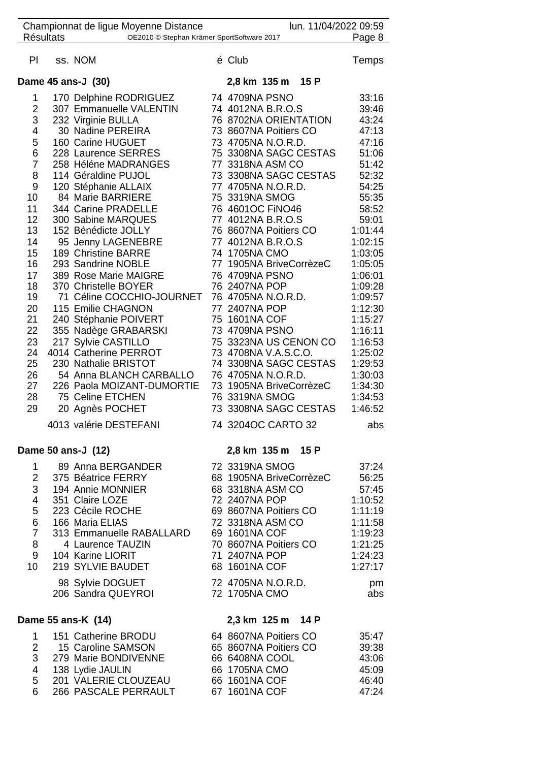|                 | <b>Résultats</b> | Championnat de ligue Moyenne Distance<br>OE2010 © Stephan Krämer SportSoftware 2017 | lun. 11/04/2022 09:59                     | Page 8             |
|-----------------|------------------|-------------------------------------------------------------------------------------|-------------------------------------------|--------------------|
|                 |                  |                                                                                     |                                           |                    |
| PI              |                  | ss. NOM                                                                             | é Club                                    | Temps              |
|                 |                  | Dame 45 ans-J (30)                                                                  | 2,8 km 135 m 15 P                         |                    |
| 1               |                  | 170 Delphine RODRIGUEZ                                                              | 74 4709NA PSNO                            | 33:16              |
| $\overline{2}$  |                  | 307 Emmanuelle VALENTIN                                                             | 74 4012NA B.R.O.S                         | 39:46              |
| 3               |                  | 232 Virginie BULLA                                                                  | 76 8702NA ORIENTATION                     | 43:24              |
| 4               |                  | 30 Nadine PEREIRA                                                                   | 73 8607NA Poitiers CO                     | 47:13              |
| 5               |                  | 160 Carine HUGUET                                                                   | 73 4705NA N.O.R.D.                        | 47:16              |
| 6               |                  | 228 Laurence SERRES                                                                 | 75 3308NA SAGC CESTAS                     | 51:06              |
| $\overline{7}$  |                  | 258 Héléne MADRANGES<br>114 Géraldine PUJOL                                         | 77 3318NA ASM CO<br>73 3308NA SAGC CESTAS | 51:42<br>52:32     |
| 8<br>9          |                  | 120 Stéphanie ALLAIX                                                                | 77 4705NA N.O.R.D.                        | 54:25              |
| 10              |                  | 84 Marie BARRIERE                                                                   | 75 3319NA SMOG                            | 55:35              |
| 11              |                  | 344 Carine PRADELLE                                                                 | 76 4601OC FINO46                          | 58:52              |
| 12 <sub>2</sub> |                  | 300 Sabine MARQUES                                                                  | 77 4012NA B.R.O.S                         | 59:01              |
| 13              |                  | 152 Bénédicte JOLLY                                                                 | 76 8607NA Poitiers CO                     | 1:01:44            |
| 14              |                  | 95 Jenny LAGENEBRE                                                                  | 77 4012NA B.R.O.S                         | 1:02:15            |
| 15              |                  | 189 Christine BARRE                                                                 | 74 1705NA CMO                             | 1:03:05            |
| 16              |                  | 293 Sandrine NOBLE                                                                  | 77 1905NA BriveCorrèzeC                   | 1:05:05            |
| 17<br>18        |                  | 389 Rose Marie MAIGRE<br>370 Christelle BOYER                                       | 76 4709NA PSNO<br>76 2407NA POP           | 1:06:01<br>1:09:28 |
| 19              |                  | 71 Céline COCCHIO-JOURNET                                                           | 76 4705NA N.O.R.D.                        | 1:09:57            |
| 20              |                  | 115 Emilie CHAGNON                                                                  | 77 2407NA POP                             | 1:12:30            |
| 21              |                  | 240 Stéphanie POIVERT                                                               | 75 1601NA COF                             | 1:15:27            |
| 22              |                  | 355 Nadège GRABARSKI                                                                | 73 4709NA PSNO                            | 1:16:11            |
| 23              |                  | 217 Sylvie CASTILLO                                                                 | 75 3323NA US CENON CO                     | 1:16:53            |
| 24              |                  | 4014 Catherine PERROT                                                               | 73 4708NA V.A.S.C.O.                      | 1:25:02            |
| 25              |                  | 230 Nathalie BRISTOT                                                                | 74 3308NA SAGC CESTAS                     | 1:29:53            |
| 26<br>27        |                  | 54 Anna BLANCH CARBALLO<br>226 Paola MOIZANT-DUMORTIE                               | 76 4705NA N.O.R.D.                        | 1:30:03            |
| 28              |                  | 75 Celine ETCHEN                                                                    | 73 1905NA BriveCorrèzeC<br>76 3319NA SMOG | 1:34:30<br>1:34:53 |
| 29              |                  | 20 Agnès POCHET                                                                     | 73 3308NA SAGC CESTAS                     | 1:46:52            |
|                 |                  |                                                                                     |                                           |                    |
|                 |                  | 4013 valérie DESTEFANI                                                              | 74 3204OC CARTO 32                        | abs                |
|                 |                  | Dame 50 ans-J (12)                                                                  | 2,8 km 135 m 15 P                         |                    |
|                 |                  | 1 89 Anna BERGANDER                                                                 | 72 3319NA SMOG                            | 37:24              |
| $\overline{2}$  |                  | 375 Béatrice FERRY                                                                  | 68 1905NA BriveCorrèzeC                   | 56:25              |
| 3               |                  | 194 Annie MONNIER                                                                   | 68 3318NA ASM CO                          | 57:45              |
| 4<br>5          |                  | 351 Claire LOZE<br>223 Cécile ROCHE                                                 | 72 2407NA POP<br>69 8607NA Poitiers CO    | 1:10:52<br>1:11:19 |
| 6               |                  | 166 Maria ELIAS                                                                     | 72 3318NA ASM CO                          | 1:11:58            |
| $\overline{7}$  |                  | 313 Emmanuelle RABALLARD                                                            | 69 1601NA COF                             | 1:19:23            |
| 8               |                  | 4 Laurence TAUZIN                                                                   | 70 8607NA Poitiers CO                     | 1:21:25            |
|                 |                  | 9 104 Karine LIORIT                                                                 | 71 2407NA POP                             | 1:24:23            |
| 10              |                  | 219 SYLVIE BAUDET                                                                   | 68 1601NA COF                             | 1:27:17            |
|                 |                  | 98 Sylvie DOGUET                                                                    | 72 4705NA N.O.R.D.                        | pm                 |
|                 |                  | 206 Sandra QUEYROI                                                                  | 72 1705NA CMO                             | abs                |
|                 |                  | Dame 55 ans-K (14)                                                                  | 2,3 km 125 m 14 P                         |                    |
| $\mathbf 1$     |                  | 151 Catherine BRODU                                                                 | 64 8607NA Poitiers CO                     | 35:47              |
| $\overline{2}$  |                  | 15 Caroline SAMSON                                                                  | 65 8607NA Poitiers CO                     | 39:38              |
| 3               |                  | 279 Marie BONDIVENNE                                                                | 66 6408NA COOL                            | 43:06              |
| $\overline{4}$  |                  | 138 Lydie JAULIN                                                                    | 66 1705NA CMO                             | 45:09              |
| 5<br>6          |                  | 201 VALERIE CLOUZEAU<br>266 PASCALE PERRAULT                                        | 66 1601NA COF<br>67 1601NA COF            | 46:40<br>47:24     |
|                 |                  |                                                                                     |                                           |                    |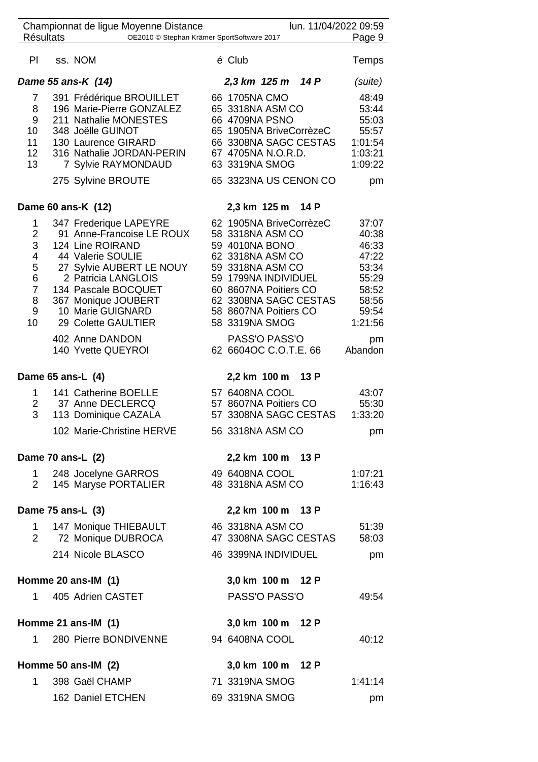|                                                              | Championnat de ligue Moyenne Distance                                                                                                                                                                                                     |                                                                                                                                                                                                                            | lun. 11/04/2022 09:59 |                                                                                          |
|--------------------------------------------------------------|-------------------------------------------------------------------------------------------------------------------------------------------------------------------------------------------------------------------------------------------|----------------------------------------------------------------------------------------------------------------------------------------------------------------------------------------------------------------------------|-----------------------|------------------------------------------------------------------------------------------|
| <b>Résultats</b>                                             | OE2010 © Stephan Krämer SportSoftware 2017                                                                                                                                                                                                |                                                                                                                                                                                                                            |                       | Page 9                                                                                   |
| PI                                                           | ss. NOM                                                                                                                                                                                                                                   | é Club                                                                                                                                                                                                                     |                       | Temps                                                                                    |
|                                                              | Dame 55 ans-K (14)                                                                                                                                                                                                                        | 2,3 km 125 m 14 P                                                                                                                                                                                                          |                       | (suite)                                                                                  |
| 7<br>8<br>9<br>10<br>11<br>12 <sup>2</sup><br>13             | 391 Frédérique BROUILLET<br>196 Marie-Pierre GONZALEZ<br>211 Nathalie MONESTES<br>348 Joëlle GUINOT<br>130 Laurence GIRARD<br>316 Nathalie JORDAN-PERIN<br>7 Sylvie RAYMONDAUD<br>275 Sylvine BROUTE                                      | 66 1705NA CMO<br>65 3318NA ASM CO<br>66 4709NA PSNO<br>65 1905NA BriveCorrèzeC<br>66 3308NA SAGC CESTAS<br>67 4705NA N.O.R.D.<br>63 3319NA SMOG<br>65 3323NA US CENON CO                                                   |                       | 48:49<br>53:44<br>55:03<br>55:57<br>1:01:54<br>1:03:21<br>1:09:22<br>pm                  |
|                                                              | Dame 60 ans-K (12)                                                                                                                                                                                                                        | 2,3 km 125 m 14 P                                                                                                                                                                                                          |                       |                                                                                          |
| 1<br>2<br>3<br>4<br>5<br>6<br>$\overline{7}$<br>8<br>9<br>10 | 347 Frederique LAPEYRE<br>91 Anne-Francoise LE ROUX<br>124 Line ROIRAND<br>44 Valerie SOULIE<br>27 Sylvie AUBERT LE NOUY<br>2 Patricia LANGLOIS<br>134 Pascale BOCQUET<br>367 Monique JOUBERT<br>10 Marie GUIGNARD<br>29 Colette GAULTIER | 62 1905NA BriveCorrèzeC<br>58 3318NA ASM CO<br>59 4010NA BONO<br>62 3318NA ASM CO<br>59 3318NA ASM CO<br>59 1799NA INDIVIDUEL<br>60 8607NA Poitiers CO<br>62 3308NA SAGC CESTAS<br>58 8607NA Poitiers CO<br>58 3319NA SMOG |                       | 37:07<br>40:38<br>46:33<br>47:22<br>53:34<br>55:29<br>58:52<br>58:56<br>59:54<br>1:21:56 |
|                                                              | 402 Anne DANDON<br>140 Yvette QUEYROI                                                                                                                                                                                                     | PASS'O PASS'O<br>62 6604OC C.O.T.E. 66                                                                                                                                                                                     |                       | pm<br>Abandon                                                                            |
| Dame 65 ans-L (4)                                            |                                                                                                                                                                                                                                           | 2,2 km 100 m                                                                                                                                                                                                               | 13 P                  |                                                                                          |
| 1<br>$\overline{2}$<br>3                                     | 141 Catherine BOELLE<br>37 Anne DECLERCQ<br>113 Dominique CAZALA<br>102 Marie-Christine HERVE                                                                                                                                             | 57 6408NA COOL<br>57 8607NA Poitiers CO<br>57 3308NA SAGC CESTAS<br>56 3318NA ASM CO                                                                                                                                       |                       | 43:07<br>55:30<br>1:33:20<br>pm                                                          |
| Dame 70 ans-L (2)                                            |                                                                                                                                                                                                                                           | 2,2 km 100 m 13 P                                                                                                                                                                                                          |                       |                                                                                          |
| 1<br>$\overline{2}$                                          | 248 Jocelyne GARROS<br>145 Maryse PORTALIER                                                                                                                                                                                               | 49 6408NA COOL<br>48 3318NA ASM CO                                                                                                                                                                                         |                       | 1:07:21<br>1:16:43                                                                       |
| Dame 75 ans-L (3)                                            |                                                                                                                                                                                                                                           | 2,2 km 100 m 13 P                                                                                                                                                                                                          |                       |                                                                                          |
| 1.<br>$\overline{2}$                                         | 147 Monique THIEBAULT<br>72 Monique DUBROCA<br>214 Nicole BLASCO                                                                                                                                                                          | 46 3318NA ASM CO<br>47 3308NA SAGC CESTAS<br>46 3399NA INDIVIDUEL                                                                                                                                                          |                       | 51:39<br>58:03<br>pm                                                                     |
|                                                              | Homme 20 ans-IM (1)                                                                                                                                                                                                                       | 3,0 km 100 m 12 P                                                                                                                                                                                                          |                       |                                                                                          |
| 1                                                            | 405 Adrien CASTET                                                                                                                                                                                                                         | PASS'O PASS'O                                                                                                                                                                                                              |                       | 49:54                                                                                    |
|                                                              | Homme 21 ans-IM $(1)$                                                                                                                                                                                                                     | 3,0 km 100 m 12 P                                                                                                                                                                                                          |                       |                                                                                          |
| 1                                                            | 280 Pierre BONDIVENNE                                                                                                                                                                                                                     | 94 6408NA COOL                                                                                                                                                                                                             |                       | 40:12                                                                                    |
|                                                              | Homme 50 ans-IM (2)                                                                                                                                                                                                                       | 3,0 km 100 m 12 P                                                                                                                                                                                                          |                       |                                                                                          |
| 1                                                            | 398 Gaël CHAMP                                                                                                                                                                                                                            | 71 3319NA SMOG                                                                                                                                                                                                             |                       | 1:41:14                                                                                  |
|                                                              | 162 Daniel ETCHEN                                                                                                                                                                                                                         | 69 3319NA SMOG                                                                                                                                                                                                             |                       | pm                                                                                       |